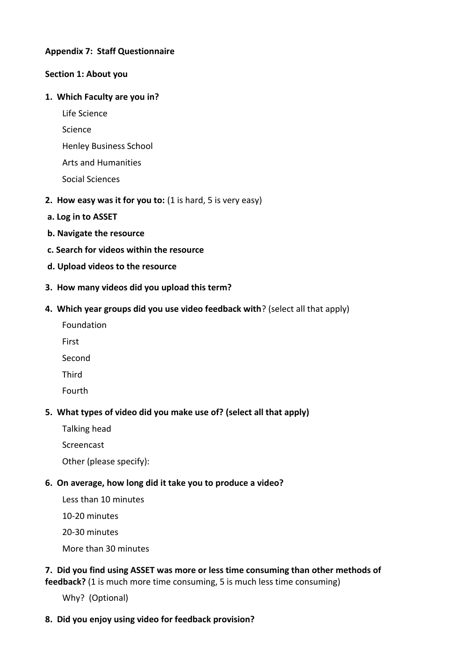### **Appendix 7: Staff Questionnaire**

#### **Section 1: About you**

#### **1. Which Faculty are you in?**

Life Science

Science

- Henley Business School
- Arts and Humanities
- Social Sciences
- **2. How easy was it for you to:** (1 is hard, 5 is very easy)
- **a. Log in to ASSET**
- **b. Navigate the resource**
- **c. Search for videos within the resource**
- **d. Upload videos to the resource**
- **3. How many videos did you upload this term?**

### **4. Which year groups did you use video feedback with**? (select all that apply)

- Foundation
- First
- Second
- Third
- Fourth

## **5. What types of video did you make use of? (select all that apply)**

- Talking head
- Screencast

Other (please specify):

## **6. On average, how long did it take you to produce a video?**

- Less than 10 minutes
- 10-20 minutes
- 20-30 minutes
- More than 30 minutes

# **7. Did you find using ASSET was more or less time consuming than other methods of**  feedback? (1 is much more time consuming, 5 is much less time consuming)

Why? (Optional)

## **8. Did you enjoy using video for feedback provision?**